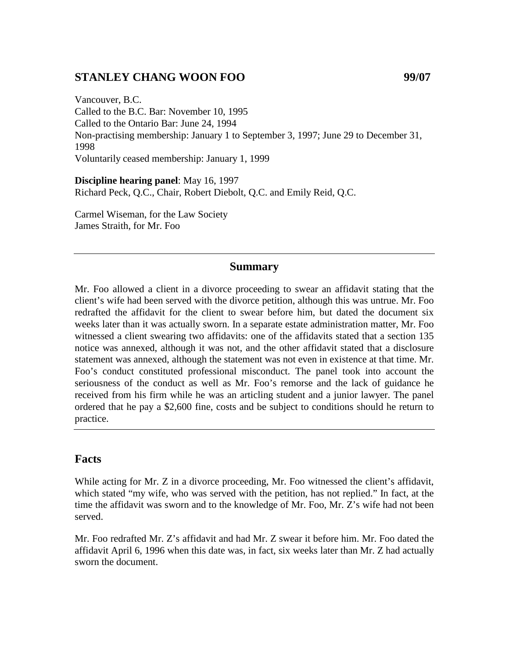### **STANLEY CHANG WOON FOO 99/07**

Vancouver, B.C. Called to the B.C. Bar: November 10, 1995 Called to the Ontario Bar: June 24, 1994 Non-practising membership: January 1 to September 3, 1997; June 29 to December 31, 1998 Voluntarily ceased membership: January 1, 1999

**Discipline hearing panel**: May 16, 1997 Richard Peck, Q.C., Chair, Robert Diebolt, Q.C. and Emily Reid, Q.C.

Carmel Wiseman, for the Law Society James Straith, for Mr. Foo

#### **Summary**

Mr. Foo allowed a client in a divorce proceeding to swear an affidavit stating that the client's wife had been served with the divorce petition, although this was untrue. Mr. Foo redrafted the affidavit for the client to swear before him, but dated the document six weeks later than it was actually sworn. In a separate estate administration matter, Mr. Foo witnessed a client swearing two affidavits: one of the affidavits stated that a section 135 notice was annexed, although it was not, and the other affidavit stated that a disclosure statement was annexed, although the statement was not even in existence at that time. Mr. Foo's conduct constituted professional misconduct. The panel took into account the seriousness of the conduct as well as Mr. Foo's remorse and the lack of guidance he received from his firm while he was an articling student and a junior lawyer. The panel ordered that he pay a \$2,600 fine, costs and be subject to conditions should he return to practice.

### **Facts**

While acting for Mr. Z in a divorce proceeding, Mr. Foo witnessed the client's affidavit, which stated "my wife, who was served with the petition, has not replied." In fact, at the time the affidavit was sworn and to the knowledge of Mr. Foo, Mr. Z's wife had not been served.

Mr. Foo redrafted Mr. Z's affidavit and had Mr. Z swear it before him. Mr. Foo dated the affidavit April 6, 1996 when this date was, in fact, six weeks later than Mr. Z had actually sworn the document.